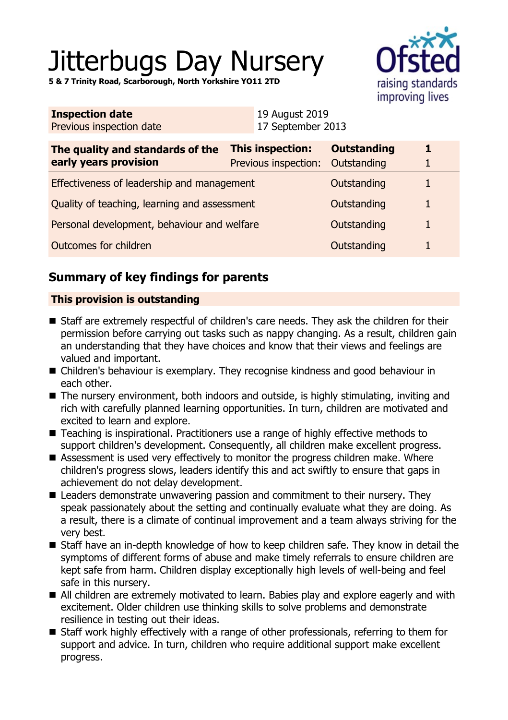# Jitterbugs Day Nursery

**5 & 7 Trinity Road, Scarborough, North Yorkshire YO11 2TD**



| <b>Inspection date</b><br>Previous inspection date        |  | 19 August 2019<br>17 September 2013             |                                   |   |  |
|-----------------------------------------------------------|--|-------------------------------------------------|-----------------------------------|---|--|
| The quality and standards of the<br>early years provision |  | <b>This inspection:</b><br>Previous inspection: | <b>Outstanding</b><br>Outstanding | 1 |  |
| Effectiveness of leadership and management                |  |                                                 | Outstanding                       | 1 |  |
| Quality of teaching, learning and assessment              |  |                                                 | Outstanding                       | 1 |  |
| Personal development, behaviour and welfare               |  |                                                 | Outstanding                       | 1 |  |
| Outcomes for children                                     |  |                                                 | Outstanding                       |   |  |

# **Summary of key findings for parents**

## **This provision is outstanding**

- Staff are extremely respectful of children's care needs. They ask the children for their permission before carrying out tasks such as nappy changing. As a result, children gain an understanding that they have choices and know that their views and feelings are valued and important.
- Children's behaviour is exemplary. They recognise kindness and good behaviour in each other.
- $\blacksquare$  The nursery environment, both indoors and outside, is highly stimulating, inviting and rich with carefully planned learning opportunities. In turn, children are motivated and excited to learn and explore.
- Teaching is inspirational. Practitioners use a range of highly effective methods to support children's development. Consequently, all children make excellent progress.
- $\blacksquare$  Assessment is used very effectively to monitor the progress children make. Where children's progress slows, leaders identify this and act swiftly to ensure that gaps in achievement do not delay development.
- $\blacksquare$  Leaders demonstrate unwavering passion and commitment to their nursery. They speak passionately about the setting and continually evaluate what they are doing. As a result, there is a climate of continual improvement and a team always striving for the very best.
- Staff have an in-depth knowledge of how to keep children safe. They know in detail the symptoms of different forms of abuse and make timely referrals to ensure children are kept safe from harm. Children display exceptionally high levels of well-being and feel safe in this nursery.
- All children are extremely motivated to learn. Babies play and explore eagerly and with excitement. Older children use thinking skills to solve problems and demonstrate resilience in testing out their ideas.
- Staff work highly effectively with a range of other professionals, referring to them for support and advice. In turn, children who require additional support make excellent progress.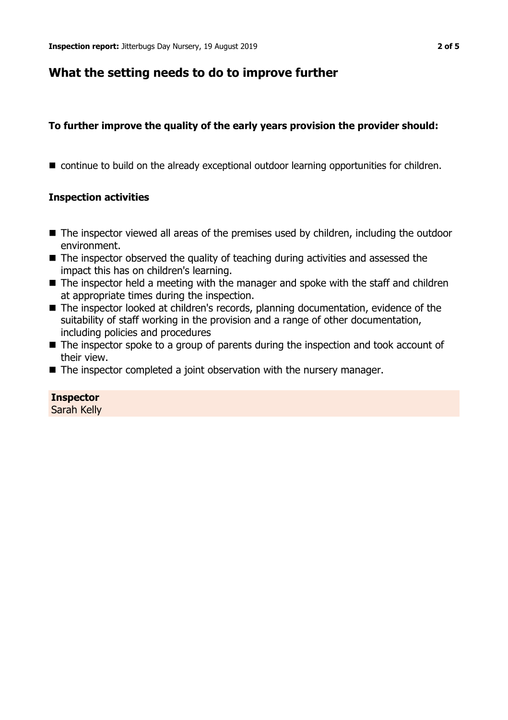## **What the setting needs to do to improve further**

## **To further improve the quality of the early years provision the provider should:**

■ continue to build on the already exceptional outdoor learning opportunities for children.

## **Inspection activities**

- The inspector viewed all areas of the premises used by children, including the outdoor environment.
- $\blacksquare$  The inspector observed the quality of teaching during activities and assessed the impact this has on children's learning.
- $\blacksquare$  The inspector held a meeting with the manager and spoke with the staff and children at appropriate times during the inspection.
- The inspector looked at children's records, planning documentation, evidence of the suitability of staff working in the provision and a range of other documentation, including policies and procedures
- $\blacksquare$  The inspector spoke to a group of parents during the inspection and took account of their view.
- $\blacksquare$  The inspector completed a joint observation with the nursery manager.

## **Inspector**

Sarah Kelly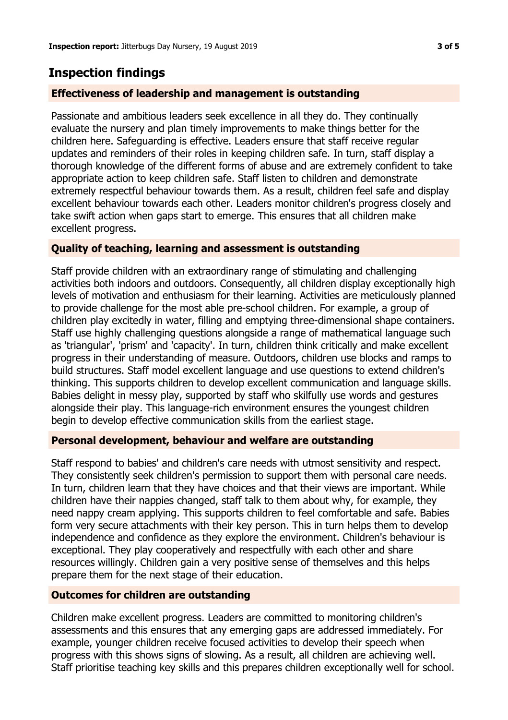## **Inspection findings**

## **Effectiveness of leadership and management is outstanding**

Passionate and ambitious leaders seek excellence in all they do. They continually evaluate the nursery and plan timely improvements to make things better for the children here. Safeguarding is effective. Leaders ensure that staff receive regular updates and reminders of their roles in keeping children safe. In turn, staff display a thorough knowledge of the different forms of abuse and are extremely confident to take appropriate action to keep children safe. Staff listen to children and demonstrate extremely respectful behaviour towards them. As a result, children feel safe and display excellent behaviour towards each other. Leaders monitor children's progress closely and take swift action when gaps start to emerge. This ensures that all children make excellent progress.

## **Quality of teaching, learning and assessment is outstanding**

Staff provide children with an extraordinary range of stimulating and challenging activities both indoors and outdoors. Consequently, all children display exceptionally high levels of motivation and enthusiasm for their learning. Activities are meticulously planned to provide challenge for the most able pre-school children. For example, a group of children play excitedly in water, filling and emptying three-dimensional shape containers. Staff use highly challenging questions alongside a range of mathematical language such as 'triangular', 'prism' and 'capacity'. In turn, children think critically and make excellent progress in their understanding of measure. Outdoors, children use blocks and ramps to build structures. Staff model excellent language and use questions to extend children's thinking. This supports children to develop excellent communication and language skills. Babies delight in messy play, supported by staff who skilfully use words and gestures alongside their play. This language-rich environment ensures the youngest children begin to develop effective communication skills from the earliest stage.

## **Personal development, behaviour and welfare are outstanding**

Staff respond to babies' and children's care needs with utmost sensitivity and respect. They consistently seek children's permission to support them with personal care needs. In turn, children learn that they have choices and that their views are important. While children have their nappies changed, staff talk to them about why, for example, they need nappy cream applying. This supports children to feel comfortable and safe. Babies form very secure attachments with their key person. This in turn helps them to develop independence and confidence as they explore the environment. Children's behaviour is exceptional. They play cooperatively and respectfully with each other and share resources willingly. Children gain a very positive sense of themselves and this helps prepare them for the next stage of their education.

## **Outcomes for children are outstanding**

Children make excellent progress. Leaders are committed to monitoring children's assessments and this ensures that any emerging gaps are addressed immediately. For example, younger children receive focused activities to develop their speech when progress with this shows signs of slowing. As a result, all children are achieving well. Staff prioritise teaching key skills and this prepares children exceptionally well for school.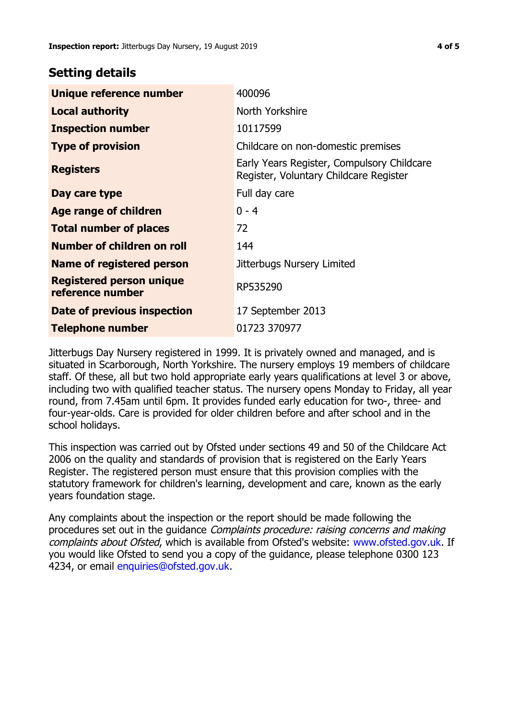## **Setting details**

| Unique reference number                             | 400096                                                                               |  |
|-----------------------------------------------------|--------------------------------------------------------------------------------------|--|
| <b>Local authority</b>                              | North Yorkshire                                                                      |  |
| <b>Inspection number</b>                            | 10117599                                                                             |  |
| <b>Type of provision</b>                            | Childcare on non-domestic premises                                                   |  |
| <b>Registers</b>                                    | Early Years Register, Compulsory Childcare<br>Register, Voluntary Childcare Register |  |
| Day care type                                       | Full day care                                                                        |  |
| Age range of children                               | $0 - 4$                                                                              |  |
| <b>Total number of places</b>                       | 72                                                                                   |  |
| Number of children on roll                          | 144                                                                                  |  |
| Name of registered person                           | Jitterbugs Nursery Limited                                                           |  |
| <b>Registered person unique</b><br>reference number | RP535290                                                                             |  |
| Date of previous inspection                         | 17 September 2013                                                                    |  |
| Telephone number                                    | 01723 370977                                                                         |  |

Jitterbugs Day Nursery registered in 1999. It is privately owned and managed, and is situated in Scarborough, North Yorkshire. The nursery employs 19 members of childcare staff. Of these, all but two hold appropriate early years qualifications at level 3 or above, including two with qualified teacher status. The nursery opens Monday to Friday, all year round, from 7.45am until 6pm. It provides funded early education for two-, three- and four-year-olds. Care is provided for older children before and after school and in the school holidays.

This inspection was carried out by Ofsted under sections 49 and 50 of the Childcare Act 2006 on the quality and standards of provision that is registered on the Early Years Register. The registered person must ensure that this provision complies with the statutory framework for children's learning, development and care, known as the early years foundation stage.

Any complaints about the inspection or the report should be made following the procedures set out in the guidance Complaints procedure: raising concerns and making complaints about Ofsted, which is available from Ofsted's website: www.ofsted.gov.uk. If you would like Ofsted to send you a copy of the guidance, please telephone 0300 123 4234, or email [enquiries@ofsted.gov.uk.](mailto:enquiries@ofsted.gov.uk)